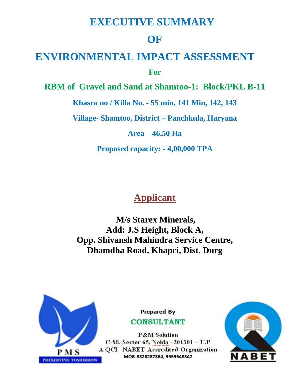# **EXECUTIVE SUMMARY**

# **OF**

# **ENVIRONMENTAL IMPACT ASSESSMENT**

**For**

**RBM of Gravel and Sand at Shamtoo-1: Block/PKL B-11** 

**Khasra no / Killa No. - 55 min, 141 Min, 142, 143**

**Village- Shamtoo, District – Panchkula, Haryana** 

**Area – 46.50 Ha**

**Proposed capacity: - 4,00,000 TPA**

# **Applicant**

**M/s Starex Minerals, Add: J.S Height, Block A, Opp. Shivansh Mahindra Service Centre, Dhamdha Road, Khapri, Dist. Durg**



**Prepared By** 

# **CONSULTANT**

**P&M** Solution C-88, Sector 65, Noida -201301 - U.P A QCI-NABET Accredited Organization MOB-8826287364, 9555548342

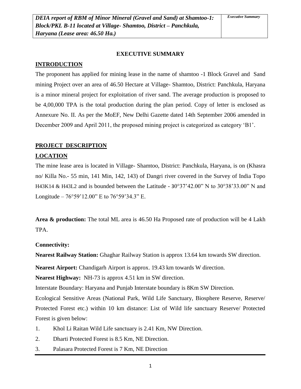#### **EXECUTIVE SUMMARY**

#### **INTRODUCTION**

The proponent has applied for mining lease in the name of shamtoo -1 Block Gravel and Sand mining Project over an area of 46.50 Hectare at Village- Shamtoo, District: Panchkula, Haryana is a minor mineral project for exploitation of river sand. The average production is proposed to be 4,00,000 TPA is the total production during the plan period. Copy of letter is enclosed as Annexure No. II. As per the MoEF, New Delhi Gazette dated 14th September 2006 amended in December 2009 and April 2011, the proposed mining project is categorized as category 'B1'.

#### **PROJECT DESCRIPTION**

#### **LOCATION**

The mine lease area is located in Village- Shamtoo, District: Panchkula, Haryana, is on (Khasra no/ Killa No.- 55 min, 141 Min, 142, 143) of Dangri river covered in the Survey of India Topo H43K14 & H43L2 and is bounded between the Latitude - 30°37'42.00" N to 30°38'33.00" N and Longitude –  $76^{\circ}59'12.00''$  E to  $76^{\circ}59'34.3''$  E.

**Area & production:** The total ML area is 46.50 Ha Proposed rate of production will be 4 Lakh TPA.

#### **Connectivity:**

**Nearest Railway Station:** Ghaghar Railway Station is approx 13.64 km towards SW direction.

**Nearest Airport:** Chandigarh Airport is approx. 19.43 km towards W direction.

**Nearest Highway:** NH-73 is approx 4.51 km in SW direction.

Interstate Boundary: Haryana and Punjab Interstate boundary is 8Km SW Direction.

Ecological Sensitive Areas (National Park, Wild Life Sanctuary, Biosphere Reserve, Reserve/ Protected Forest etc.) within 10 km distance: List of Wild life sanctuary Reserve/ Protected Forest is given below:

- 1. Khol Li Raitan Wild Life sanctuary is 2.41 Km, NW Direction.
- 2. Dharti Protected Forest is 8.5 Km, NE Direction.
- 3. Palasara Protected Forest is 7 Km, NE Direction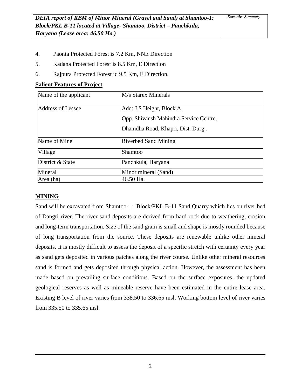- 4. Paonta Protected Forest is 7.2 Km, NNE Direction
- 5. Kadana Protected Forest is 8.5 Km, E Direction
- 6. Rajpura Protected Forest id 9.5 Km, E Direction.

| Name of the applicant | M/s Starex Minerals                    |
|-----------------------|----------------------------------------|
| Address of Lessee     | Add: J.S Height, Block A,              |
|                       | Opp. Shivansh Mahindra Service Centre, |
|                       | Dhamdha Road, Khapri, Dist. Durg.      |
| Name of Mine          | <b>Riverbed Sand Mining</b>            |
| Village               | Shamtoo                                |
| District & State      | Panchkula, Haryana                     |
| Mineral               | Minor mineral (Sand)                   |
| Area (ha)             | 46.50 Ha.                              |

# **MINING**

Sand will be excavated from Shamtoo-1: Block/PKL B-11 Sand Quarry which lies on river bed of Dangri river. The river sand deposits are derived from hard rock due to weathering, erosion and long-term transportation. Size of the sand grain is small and shape is mostly rounded because of long transportation from the source. These deposits are renewable unlike other mineral deposits. It is mostly difficult to assess the deposit of a specific stretch with certainty every year as sand gets deposited in various patches along the river course. Unlike other mineral resources sand is formed and gets deposited through physical action. However, the assessment has been made based on prevailing surface conditions. Based on the surface exposures, the updated geological reserves as well as mineable reserve have been estimated in the entire lease area. Existing B level of river varies from 338.50 to 336.65 msl. Working bottom level of river varies from 335.50 to 335.65 msl.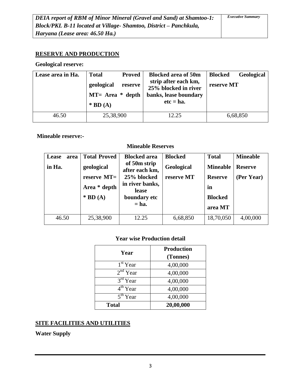# **RESERVE AND PRODUCTION**

#### **Geological reserve:**

| Lease area in Ha. | <b>Total</b><br><b>Proved</b><br>geological<br>reserve<br>$MT=$ Area $*$ depth<br>$*$ BD (A) | <b>Blocked area of 50m</b><br>strip after each km,<br>25% blocked in river<br>banks, lease boundary<br>$etc = ha.$ | <b>Blocked</b><br>Geological<br>reserve MT |
|-------------------|----------------------------------------------------------------------------------------------|--------------------------------------------------------------------------------------------------------------------|--------------------------------------------|
| 46.50             | 25,38,900                                                                                    | 12.25                                                                                                              | 6,68,850                                   |

### **Mineable reserve:-**

### **Mineable Reserves**

| Lease<br>area<br>in Ha. | <b>Total Proved</b><br>geological<br>reserve $MT=$<br>Area * depth<br>$*$ BD (A) | <b>Blocked area</b><br>of 50m strip<br>after each km,<br>25% blocked<br>in river banks,<br>lease<br>boundary etc<br>$=$ ha. | <b>Blocked</b><br>Geological<br>reserve MT | <b>Total</b><br><b>Mineable</b><br><b>Reserve</b><br>in<br><b>Blocked</b><br>area MT | <b>Mineable</b><br><b>Reserve</b><br>(Per Year) |
|-------------------------|----------------------------------------------------------------------------------|-----------------------------------------------------------------------------------------------------------------------------|--------------------------------------------|--------------------------------------------------------------------------------------|-------------------------------------------------|
| 46.50                   | 25,38,900                                                                        | 12.25                                                                                                                       | 6,68,850                                   | 18,70,050                                                                            | 4,00,000                                        |

# **Year wise Production detail**

|                      | <b>Production</b> |
|----------------------|-------------------|
| Year                 | (Tonnes)          |
| $1st$ Year           | 4,00,000          |
| $2nd$ Year           | 4,00,000          |
| $3rd$ Year           | 4,00,000          |
| $4th$ Year           | 4,00,000          |
| 5 <sup>th</sup> Year | 4,00,000          |
| <b>Total</b>         | 20,00,000         |

# **SITE FACILITIES AND UTILITIES**

**Water Supply**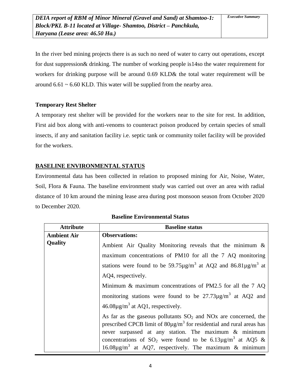In the river bed mining projects there is as such no need of water to carry out operations, except for dust suppression& drinking. The number of working people is14so the water requirement for workers for drinking purpose will be around 0.69 KLD& the total water requirement will be around  $6.61 \sim 6.60$  KLD. This water will be supplied from the nearby area.

### **Temporary Rest Shelter**

A temporary rest shelter will be provided for the workers near to the site for rest. In addition, First aid box along with anti-venoms to counteract poison produced by certain species of small insects, if any and sanitation facility i.e. septic tank or community toilet facility will be provided for the workers.

# **BASELINE ENVIRONMENTAL STATUS**

Environmental data has been collected in relation to proposed mining for Air, Noise, Water, Soil, Flora & Fauna. The baseline environment study was carried out over an area with radial distance of 10 km around the mining lease area during post monsoon season from October 2020 to December 2020.

| <b>Attribute</b>   | <b>Baseline status</b>                                                                                                                                                                                                                                                                                                                                                  |  |  |
|--------------------|-------------------------------------------------------------------------------------------------------------------------------------------------------------------------------------------------------------------------------------------------------------------------------------------------------------------------------------------------------------------------|--|--|
| <b>Ambient Air</b> | <b>Observations:</b>                                                                                                                                                                                                                                                                                                                                                    |  |  |
| <b>Quality</b>     | Ambient Air Quality Monitoring reveals that the minimum $\&$                                                                                                                                                                                                                                                                                                            |  |  |
|                    | maximum concentrations of PM10 for all the 7 AQ monitoring                                                                                                                                                                                                                                                                                                              |  |  |
|                    | stations were found to be 59.75 $\mu$ g/m <sup>3</sup> at AQ2 and 86.81 $\mu$ g/m <sup>3</sup> at                                                                                                                                                                                                                                                                       |  |  |
|                    | AQ4, respectively.                                                                                                                                                                                                                                                                                                                                                      |  |  |
|                    | Minimum $\&$ maximum concentrations of PM2.5 for all the 7 AQ                                                                                                                                                                                                                                                                                                           |  |  |
|                    | monitoring stations were found to be $27.73 \mu g/m^3$ at AQ2 and                                                                                                                                                                                                                                                                                                       |  |  |
|                    | $46.08\mu\text{g/m}^3$ at AQ1, respectively.                                                                                                                                                                                                                                                                                                                            |  |  |
|                    | As far as the gaseous pollutants $SO_2$ and NOx are concerned, the<br>prescribed CPCB limit of $80\mu\text{g/m}^3$ for residential and rural areas has<br>never surpassed at any station. The maximum & minimum<br>concentrations of $SO_2$ were found to be 6.13µg/m <sup>3</sup> at AQ5 &<br>16.08 $\mu$ g/m <sup>3</sup> at AQ7, respectively. The maximum & minimum |  |  |

| <b>Baseline Environmental Status</b> |  |
|--------------------------------------|--|
|--------------------------------------|--|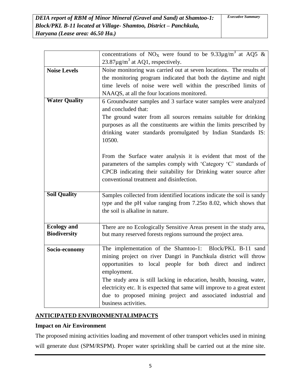|                      | concentrations of NO <sub>X</sub> were found to be $9.33\mu\text{g/m}^3$ at AQ5 & |  |  |  |
|----------------------|-----------------------------------------------------------------------------------|--|--|--|
|                      | $23.87 \mu g/m^3$ at AQ1, respectively.                                           |  |  |  |
| <b>Noise Levels</b>  | Noise monitoring was carried out at seven locations. The results of               |  |  |  |
|                      | the monitoring program indicated that both the daytime and night                  |  |  |  |
|                      | time levels of noise were well within the prescribed limits of                    |  |  |  |
|                      | NAAQS, at all the four locations monitored.                                       |  |  |  |
| <b>Water Quality</b> | 6 Groundwater samples and 3 surface water samples were analyzed                   |  |  |  |
|                      | and concluded that:                                                               |  |  |  |
|                      | The ground water from all sources remains suitable for drinking                   |  |  |  |
|                      | purposes as all the constituents are within the limits prescribed by              |  |  |  |
|                      | drinking water standards promulgated by Indian Standards IS:                      |  |  |  |
|                      | 10500.                                                                            |  |  |  |
|                      |                                                                                   |  |  |  |
|                      | From the Surface water analysis it is evident that most of the                    |  |  |  |
|                      | parameters of the samples comply with 'Category 'C' standards of                  |  |  |  |
|                      | CPCB indicating their suitability for Drinking water source after                 |  |  |  |
|                      | conventional treatment and disinfection.                                          |  |  |  |
|                      |                                                                                   |  |  |  |
| <b>Soil Quality</b>  | Samples collected from identified locations indicate the soil is sandy            |  |  |  |
|                      | type and the pH value ranging from 7.25to 8.02, which shows that                  |  |  |  |
|                      | the soil is alkaline in nature.                                                   |  |  |  |
|                      |                                                                                   |  |  |  |
| <b>Ecology</b> and   | There are no Ecologically Sensitive Areas present in the study area,              |  |  |  |
| <b>Biodiversity</b>  | but many reserved forests regions surround the project area.                      |  |  |  |
|                      |                                                                                   |  |  |  |
| Socio-economy        | The implementation of the Shamtoo-1: Block/PKL B-11 sand                          |  |  |  |
|                      | mining project on river Dangri in Panchkula district will throw                   |  |  |  |
|                      | opportunities to local people for both direct and indirect                        |  |  |  |
|                      | employment.                                                                       |  |  |  |
|                      | The study area is still lacking in education, health, housing, water,             |  |  |  |
|                      | electricity etc. It is expected that same will improve to a great extent          |  |  |  |
|                      | due to proposed mining project and associated industrial and                      |  |  |  |
|                      | business activities.                                                              |  |  |  |

# **ANTICIPATED ENVIRONMENTALIMPACTS**

# **Impact on Air Environment**

The proposed mining activities loading and movement of other transport vehicles used in mining will generate dust (SPM/RSPM). Proper water sprinkling shall be carried out at the mine site.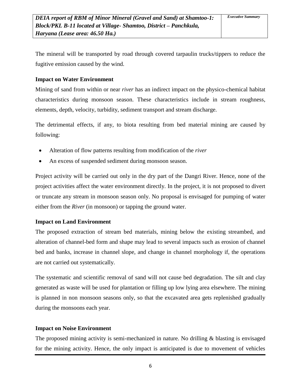The mineral will be transported by road through covered tarpaulin trucks/tippers to reduce the fugitive emission caused by the wind.

#### **Impact on Water Environment**

Mining of sand from within or near *river* has an indirect impact on the physico-chemical habitat characteristics during monsoon season. These characteristics include in stream roughness, elements, depth, velocity, turbidity, sediment transport and stream discharge.

The detrimental effects, if any, to biota resulting from bed material mining are caused by following:

- Alteration of flow patterns resulting from modification of the *river*
- An excess of suspended sediment during monsoon season.

Project activity will be carried out only in the dry part of the Dangri River. Hence, none of the project activities affect the water environment directly. In the project, it is not proposed to divert or truncate any stream in monsoon season only. No proposal is envisaged for pumping of water either from the *River* (in monsoon) or tapping the ground water.

# **Impact on Land Environment**

The proposed extraction of stream bed materials, mining below the existing streambed, and alteration of channel-bed form and shape may lead to several impacts such as erosion of channel bed and banks, increase in channel slope, and change in channel morphology if, the operations are not carried out systematically.

The systematic and scientific removal of sand will not cause bed degradation. The silt and clay generated as waste will be used for plantation or filling up low lying area elsewhere. The mining is planned in non monsoon seasons only, so that the excavated area gets replenished gradually during the monsoons each year.

# **Impact on Noise Environment**

The proposed mining activity is semi-mechanized in nature. No drilling  $\&$  blasting is envisaged for the mining activity. Hence, the only impact is anticipated is due to movement of vehicles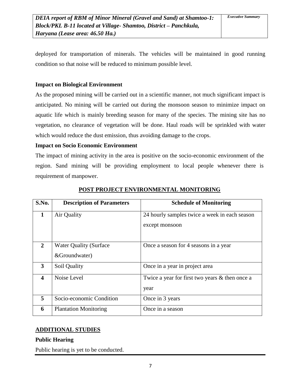deployed for transportation of minerals. The vehicles will be maintained in good running condition so that noise will be reduced to minimum possible level.

#### **Impact on Biological Environment**

As the proposed mining will be carried out in a scientific manner, not much significant impact is anticipated. No mining will be carried out during the monsoon season to minimize impact on aquatic life which is mainly breeding season for many of the species. The mining site has no vegetation, no clearance of vegetation will be done. Haul roads will be sprinkled with water which would reduce the dust emission, thus avoiding damage to the crops.

### **Impact on Socio Economic Environment**

The impact of mining activity in the area is positive on the socio-economic environment of the region. Sand mining will be providing employment to local people whenever there is requirement of manpower.

| S.No.            | <b>Description of Parameters</b> | <b>Schedule of Monitoring</b>                                   |  |
|------------------|----------------------------------|-----------------------------------------------------------------|--|
| $\mathbf{1}$     | Air Quality                      | 24 hourly samples twice a week in each season<br>except monsoon |  |
|                  |                                  |                                                                 |  |
| 2                | <b>Water Quality (Surface)</b>   | Once a season for 4 seasons in a year                           |  |
|                  | &Groundwater)                    |                                                                 |  |
| 3                | Soil Quality                     | Once in a year in project area                                  |  |
| $\boldsymbol{4}$ | Noise Level                      | Twice a year for first two years & then once a                  |  |
|                  |                                  | year                                                            |  |
| 5                | Socio-economic Condition         | Once in 3 years                                                 |  |
| 6                | <b>Plantation Monitoring</b>     | Once in a season                                                |  |

### **POST PROJECT ENVIRONMENTAL MONITORING**

# **ADDITIONAL STUDIES**

#### **Public Hearing**

Public hearing is yet to be conducted.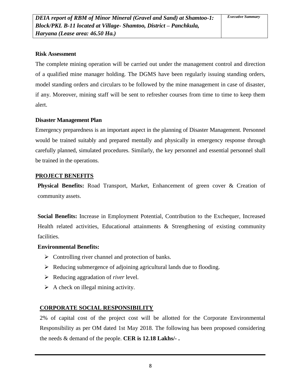# **Risk Assessment**

The complete mining operation will be carried out under the management control and direction of a qualified mine manager holding. The DGMS have been regularly issuing standing orders, model standing orders and circulars to be followed by the mine management in case of disaster, if any. Moreover, mining staff will be sent to refresher courses from time to time to keep them alert.

### **Disaster Management Plan**

Emergency preparedness is an important aspect in the planning of Disaster Management. Personnel would be trained suitably and prepared mentally and physically in emergency response through carefully planned, simulated procedures. Similarly, the key personnel and essential personnel shall be trained in the operations.

### **PROJECT BENEFITS**

**Physical Benefits:** Road Transport, Market, Enhancement of green cover & Creation of community assets.

**Social Benefits:** Increase in Employment Potential, Contribution to the Exchequer, Increased Health related activities, Educational attainments & Strengthening of existing community facilities.

# **Environmental Benefits:**

- $\triangleright$  Controlling river channel and protection of banks.
- $\triangleright$  Reducing submergence of adjoining agricultural lands due to flooding.
- Reducing aggradation of *river* level.
- $\triangleright$  A check on illegal mining activity.

# **CORPORATE SOCIAL RESPONSIBILITY**

2% of capital cost of the project cost will be allotted for the Corporate Environmental Responsibility as per OM dated 1st May 2018. The following has been proposed considering the needs & demand of the people. **CER is 12.18 Lakhs/- .**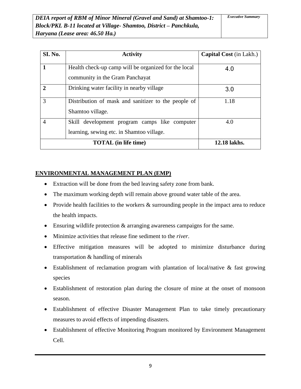| <b>SI. No.</b> | <b>Activity</b>                                                                            | <b>Capital Cost</b> (in Lakh.) |
|----------------|--------------------------------------------------------------------------------------------|--------------------------------|
|                | Health check-up camp will be organized for the local<br>community in the Gram Panchayat    | 4.0                            |
| $\mathbf{2}$   | Drinking water facility in nearby village                                                  | 3.0                            |
| 3              | Distribution of mask and sanitizer to the people of<br>Shamtoo village.                    | 1.18                           |
| 4              | Skill development program camps like computer<br>learning, sewing etc. in Shamtoo village. | 4.0                            |
|                | <b>TOTAL</b> (in life time)                                                                | 12.18 lakhs.                   |

# **ENVIRONMENTAL MANAGEMENT PLAN (EMP)**

- Extraction will be done from the bed leaving safety zone from bank.
- The maximum working depth will remain above ground water table of the area.
- Provide health facilities to the workers & surrounding people in the impact area to reduce the health impacts.
- Ensuring wildlife protection & arranging awareness campaigns for the same.
- Minimize activities that release fine sediment to the *river*.
- Effective mitigation measures will be adopted to minimize disturbance during transportation & handling of minerals
- Establishment of reclamation program with plantation of local/native & fast growing species
- Establishment of restoration plan during the closure of mine at the onset of monsoon season.
- Establishment of effective Disaster Management Plan to take timely precautionary measures to avoid effects of impending disasters.
- Establishment of effective Monitoring Program monitored by Environment Management Cell.